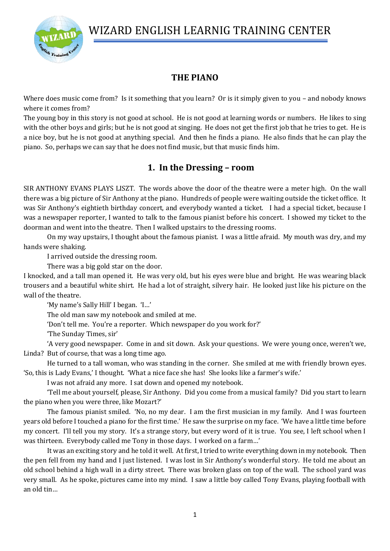

### **THE PIANO**

Where does music come from? Is it something that you learn? Or is it simply given to you – and nobody knows where it comes from?

The young boy in this story is not good at school. He is not good at learning words or numbers. He likes to sing with the other boys and girls; but he is not good at singing. He does not get the first job that he tries to get. He is a nice boy, but he is not good at anything special. And then he finds a piano. He also finds that he can play the piano. So, perhaps we can say that he does not find music, but that music finds him.

### **1. In the Dressing – room**

SIR ANTHONY EVANS PLAYS LISZT. The words above the door of the theatre were a meter high. On the wall there was a big picture of Sir Anthony at the piano. Hundreds of people were waiting outside the ticket office. It was Sir Anthony's eightieth birthday concert, and everybody wanted a ticket. I had a special ticket, because I was a newspaper reporter, I wanted to talk to the famous pianist before his concert. I showed my ticket to the doorman and went into the theatre. Then I walked upstairs to the dressing rooms.

On my way upstairs, I thought about the famous pianist. I was a little afraid. My mouth was dry, and my hands were shaking.

I arrived outside the dressing room.

There was a big gold star on the door.

I knocked, and a tall man opened it. He was very old, but his eyes were blue and bright. He was wearing black trousers and a beautiful white shirt. He had a lot of straight, silvery hair. He looked just like his picture on the wall of the theatre.

'My name's Sally Hill' I began. 'I…'

The old man saw my notebook and smiled at me.

'Don't tell me. You're a reporter. Which newspaper do you work for?'

'The Sunday Times, sir'

'A very good newspaper. Come in and sit down. Ask your questions. We were young once, weren't we, Linda? But of course, that was a long time ago.

He turned to a tall woman, who was standing in the corner. She smiled at me with friendly brown eyes. 'So, this is Lady Evans,' I thought. 'What a nice face she has! She looks like a farmer's wife.'

I was not afraid any more. I sat down and opened my notebook.

'Tell me about yourself, please, Sir Anthony. Did you come from a musical family? Did you start to learn the piano when you were three, like Mozart?'

The famous pianist smiled. 'No, no my dear. I am the first musician in my family. And I was fourteen years old before I touched a piano for the first time.' He saw the surprise on my face. 'We have a little time before my concert. I'll tell you my story. It's a strange story, but every word of it is true. You see, I left school when I was thirteen. Everybody called me Tony in those days. I worked on a farm…'

It was an exciting story and he told it well. At first, I tried to write everything down in my notebook. Then the pen fell from my hand and I just listened. I was lost in Sir Anthony's wonderful story. He told me about an old school behind a high wall in a dirty street. There was broken glass on top of the wall. The school yard was very small. As he spoke, pictures came into my mind. I saw a little boy called Tony Evans, playing football with an old tin…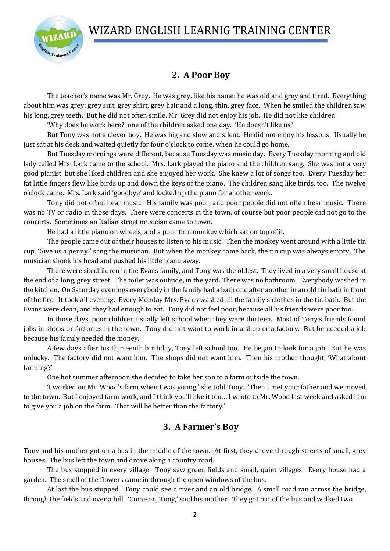

### **2. A Poor Boy**

The teacher's name was Mr. Grey. He was grey, like his name: he was old and grey and tired. Everything about him was grey: grey suit, grey shirt, grey hair and a long, thin, grey face. When he smiled the children saw his long, grey teeth. But he did not often smile. Mr. Grey did not enjoy his job. He did not like children.

'Why does he work here?' one of the children asked one day. 'He doesn't like us.'

But Tony was not a clever boy. He was big and slow and silent. He did not enjoy his lessons. Usually he just sat at his desk and waited quietly for four o'clock to come, when he could go home.

But Tuesday mornings were different, because Tuesday was music day. Every Tuesday morning and old lady called Mrs. Lark came to the school. Mrs. Lark played the piano and the children sang. She was not a very good pianist, but she liked children and she enjoyed her work. She knew a lot of songs too. Every Tuesday her fat little fingers flew like birds up and down the keys of the piano. The children sang like birds, too. The twelve o'clock came. Mrs. Lark said 'goodbye' and locked up the piano for another week.

Tony did not often hear music. His family was poor, and poor people did not often hear music. There was no TV or radio in those days. There were concerts in the town, of course but poor people did not go to the concerts. Sometimes an Italian street musician came to town.

He had a little piano on wheels, and a poor thin monkey which sat on top of it.

The people came out of their houses to listen to his music. Then the monkey went around with a little tin cup. 'Give us a penny!' sang the musician. But when the monkey came back, the tin cup was always empty. The musician shook his head and pushed his little piano away.

There were six children in the Evans family, and Tony was the oldest. They lived in a very small house at the end of a long, grey street. The toilet was outside, in the yard. There was no bathroom. Everybody washed in the kitchen. On Saturday evenings everybody in the family had a bath one after another in an old tin bath in front of the fire. It took all evening. Every Monday Mrs. Evans washed all the family's clothes in the tin bath. But the Evans were clean, and they had enough to eat. Tony did not feel poor, because all his friends were poor too.

In those days, poor children usually left school when they were thirteen. Most of Tony's friends found jobs in shops or factories in the town. Tony did not want to work in a shop or a factory. But he needed a job because his family needed the money.

A few days after his thirteenth birthday, Tony left school too. He began to look for a job. But he was unlucky. The factory did not want him. The shops did not want him. Then his mother thought, 'What about farming?'

One hot summer afternoon she decided to take her son to a farm outside the town.

'I worked on Mr. Wood's farm when I was young,' she told Tony. 'Then I met your father and we moved to the town. But I enjoyed farm work, and I think you'll like it too… I wrote to Mr. Wood last week and asked him to give you a job on the farm. That will be better than the factory.'

### **3. A Farmer's Boy**

Tony and his mother got on a bus in the middle of the town. At first, they drove through streets of small, grey houses. The bus left the town and drove along a country road.

The bus stopped in every village. Tony saw green fields and small, quiet villages. Every house had a garden. The smell of the flowers came in through the open windows of the bus.

At last the bus stopped. Tony could see a river and an old bridge. A small road ran across the bridge, through the fields and over a hill. 'Come on, Tony,' said his mother. They got out of the bus and walked two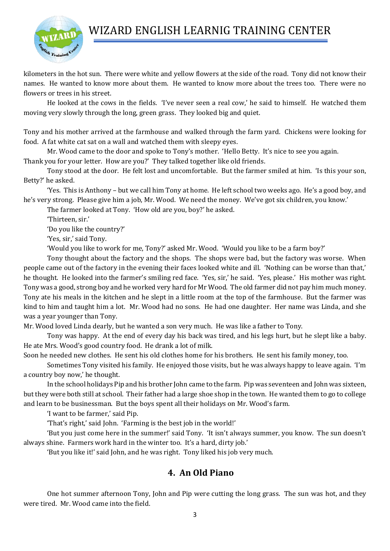

kilometers in the hot sun. There were white and yellow flowers at the side of the road. Tony did not know their names. He wanted to know more about them. He wanted to know more about the trees too. There were no flowers or trees in his street.

He looked at the cows in the fields. 'I've never seen a real cow,' he said to himself. He watched them moving very slowly through the long, green grass. They looked big and quiet.

Tony and his mother arrived at the farmhouse and walked through the farm yard. Chickens were looking for food. A fat white cat sat on a wall and watched them with sleepy eyes.

Mr. Wood came to the door and spoke to Tony's mother. 'Hello Betty. It's nice to see you again.

Thank you for your letter. How are you?' They talked together like old friends.

Tony stood at the door. He felt lost and uncomfortable. But the farmer smiled at him. 'Is this your son, Betty?' he asked.

'Yes. This is Anthony – but we call him Tony at home. He left school two weeks ago. He's a good boy, and he's very strong. Please give him a job, Mr. Wood. We need the money. We've got six children, you know.'

The farmer looked at Tony. 'How old are you, boy?' he asked.

'Thirteen, sir.'

'Do you like the country?'

'Yes, sir,' said Tony.

'Would you like to work for me, Tony?' asked Mr. Wood. 'Would you like to be a farm boy?'

Tony thought about the factory and the shops. The shops were bad, but the factory was worse. When people came out of the factory in the evening their faces looked white and ill. 'Nothing can be worse than that,' he thought. He looked into the farmer's smiling red face. 'Yes, sir,' he said. 'Yes, please.' His mother was right. Tony was a good, strong boy and he worked very hard for Mr Wood. The old farmer did not pay him much money. Tony ate his meals in the kitchen and he slept in a little room at the top of the farmhouse. But the farmer was kind to him and taught him a lot. Mr. Wood had no sons. He had one daughter. Her name was Linda, and she was a year younger than Tony.

Mr. Wood loved Linda dearly, but he wanted a son very much. He was like a father to Tony.

Tony was happy. At the end of every day his back was tired, and his legs hurt, but he slept like a baby. He ate Mrs. Wood's good country food. He drank a lot of milk.

Soon he needed new clothes. He sent his old clothes home for his brothers. He sent his family money, too.

Sometimes Tony visited his family. He enjoyed those visits, but he was always happy to leave again. 'I'm a country boy now,' he thought.

In the school holidays Pip and his brother John came to the farm. Pip was seventeen and John was sixteen, but they were both still at school. Their father had a large shoe shop in the town. He wanted them to go to college and learn to be businessman. But the boys spent all their holidays on Mr. Wood's farm.

'I want to be farmer,' said Pip.

'That's right,' said John. 'Farming is the best job in the world!'

'But you just come here in the summer!' said Tony. 'It isn't always summer, you know. The sun doesn't always shine. Farmers work hard in the winter too. It's a hard, dirty job.'

'But you like it!' said John, and he was right. Tony liked his job very much.

#### **4. An Old Piano**

One hot summer afternoon Tony, John and Pip were cutting the long grass. The sun was hot, and they were tired. Mr. Wood came into the field.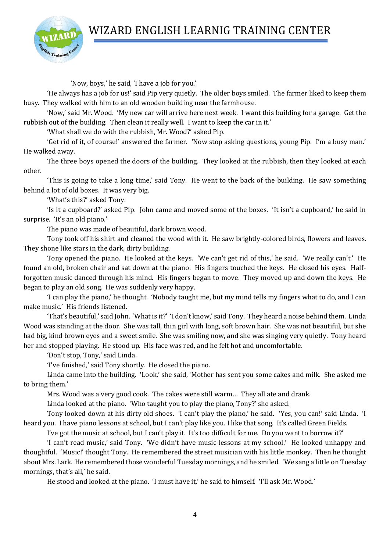



'Now, boys,' he said, 'I have a job for you.'

'He always has a job for us!' said Pip very quietly. The older boys smiled. The farmer liked to keep them busy. They walked with him to an old wooden building near the farmhouse.

'Now,' said Mr. Wood. 'My new car will arrive here next week. I want this building for a garage. Get the rubbish out of the building. Then clean it really well. I want to keep the car in it.'

'What shall we do with the rubbish, Mr. Wood?' asked Pip.

'Get rid of it, of course!' answered the farmer. 'Now stop asking questions, young Pip. I'm a busy man.' He walked away.

The three boys opened the doors of the building. They looked at the rubbish, then they looked at each other.

'This is going to take a long time,' said Tony. He went to the back of the building. He saw something behind a lot of old boxes. It was very big.

'What's this?' asked Tony.

'Is it a cupboard?' asked Pip. John came and moved some of the boxes. 'It isn't a cupboard,' he said in surprise. 'It's an old piano.'

The piano was made of beautiful, dark brown wood.

Tony took off his shirt and cleaned the wood with it. He saw brightly-colored birds, flowers and leaves. They shone like stars in the dark, dirty building.

Tony opened the piano. He looked at the keys. 'We can't get rid of this,' he said. 'We really can't.' He found an old, broken chair and sat down at the piano. His fingers touched the keys. He closed his eyes. Halfforgotten music danced through his mind. His fingers began to move. They moved up and down the keys. He began to play an old song. He was suddenly very happy.

'I can play the piano,' he thought. 'Nobody taught me, but my mind tells my fingers what to do, and I can make music.' His friends listened.

'That's beautiful,' said John. 'What is it?' 'I don't know,' said Tony. They heard a noise behind them. Linda Wood was standing at the door. She was tall, thin girl with long, soft brown hair. She was not beautiful, but she had big, kind brown eyes and a sweet smile. She was smiling now, and she was singing very quietly. Tony heard her and stopped playing. He stood up. His face was red, and he felt hot and uncomfortable.

'Don't stop, Tony,' said Linda.

'I've finished,' said Tony shortly. He closed the piano.

Linda came into the building. 'Look,' she said, 'Mother has sent you some cakes and milk. She asked me to bring them.'

Mrs. Wood was a very good cook. The cakes were still warm… They all ate and drank.

Linda looked at the piano. 'Who taught you to play the piano, Tony?' she asked.

Tony looked down at his dirty old shoes. 'I can't play the piano,' he said. 'Yes, you can!' said Linda. 'I heard you. I have piano lessons at school, but I can't play like you. I like that song. It's called Green Fields.

I've got the music at school, but I can't play it. It's too difficult for me. Do you want to borrow it?'

'I can't read music,' said Tony. 'We didn't have music lessons at my school.' He looked unhappy and thoughtful. 'Music!' thought Tony. He remembered the street musician with his little monkey. Then he thought about Mrs. Lark. He remembered those wonderful Tuesday mornings, and he smiled. 'We sang a little on Tuesday mornings, that's all,' he said.

He stood and looked at the piano. 'I must have it,' he said to himself. 'I'll ask Mr. Wood.'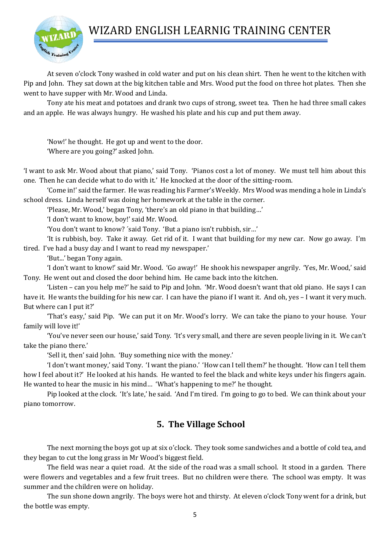

At seven o'clock Tony washed in cold water and put on his clean shirt. Then he went to the kitchen with Pip and John. They sat down at the big kitchen table and Mrs. Wood put the food on three hot plates. Then she went to have supper with Mr. Wood and Linda.

Tony ate his meat and potatoes and drank two cups of strong, sweet tea. Then he had three small cakes and an apple. He was always hungry. He washed his plate and his cup and put them away.

'Now!' he thought. He got up and went to the door. 'Where are you going?' asked John.

'I want to ask Mr. Wood about that piano,' said Tony. 'Pianos cost a lot of money. We must tell him about this one. Then he can decide what to do with it.' He knocked at the door of the sitting-room.

'Come in!' said the farmer. He was reading his Farmer's Weekly. Mrs Wood was mending a hole in Linda's school dress. Linda herself was doing her homework at the table in the corner.

'Please, Mr. Wood,' began Tony, 'there's an old piano in that building…'

'I don't want to know, boy!' said Mr. Wood.

'You don't want to know? ´said Tony. 'But a piano isn't rubbish, sir…'

'It is rubbish, boy. Take it away. Get rid of it. I want that building for my new car. Now go away. I'm tired. I've had a busy day and I want to read my newspaper.'

'But...' began Tony again.

'I don't want to know!' said Mr. Wood. 'Go away!' He shook his newspaper angrily. 'Yes, Mr. Wood,' said Tony. He went out and closed the door behind him. He came back into the kitchen.

'Listen – can you help me?' he said to Pip and John. 'Mr. Wood doesn't want that old piano. He says I can have it. He wants the building for his new car. I can have the piano if I want it. And oh, yes – I want it very much. But where can I put it?'

'That's easy,' said Pip. 'We can put it on Mr. Wood's lorry. We can take the piano to your house. Your family will love it!'

'You've never seen our house,' said Tony. 'It's very small, and there are seven people living in it. We can't take the piano there.'

'Sell it, then' said John. 'Buy something nice with the money.'

'I don't want money,' said Tony. 'I want the piano.' 'How can I tell them?' he thought. 'How can I tell them how I feel about it?' He looked at his hands. He wanted to feel the black and white keys under his fingers again. He wanted to hear the music in his mind… 'What's happening to me?' he thought.

Pip looked at the clock. 'It's late,' he said. 'And I'm tired. I'm going to go to bed. We can think about your piano tomorrow.

### **5. The Village School**

The next morning the boys got up at six o'clock. They took some sandwiches and a bottle of cold tea, and they began to cut the long grass in Mr Wood's biggest field.

The field was near a quiet road. At the side of the road was a small school. It stood in a garden. There were flowers and vegetables and a few fruit trees. But no children were there. The school was empty. It was summer and the children were on holiday.

The sun shone down angrily. The boys were hot and thirsty. At eleven o'clock Tony went for a drink, but the bottle was empty.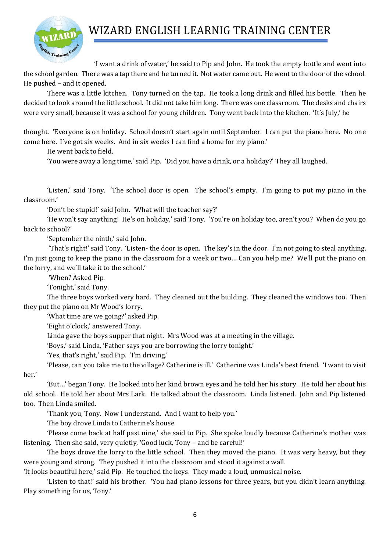

'I want a drink of water,' he said to Pip and John. He took the empty bottle and went into

the school garden. There was a tap there and he turned it. Not water came out. He went to the door of the school. He pushed – and it opened.

There was a little kitchen. Tony turned on the tap. He took a long drink and filled his bottle. Then he decided to look around the little school. It did not take him long. There was one classroom. The desks and chairs were very small, because it was a school for young children. Tony went back into the kitchen. 'It's July,' he

thought. 'Everyone is on holiday. School doesn't start again until September. I can put the piano here. No one come here. I've got six weeks. And in six weeks I can find a home for my piano.'

He went back to field.

'You were away a long time,' said Pip. 'Did you have a drink, or a holiday?' They all laughed.

'Listen,' said Tony. 'The school door is open. The school's empty. I'm going to put my piano in the classroom.'

'Don't be stupid!' said John. 'What will the teacher say?'

'He won't say anything! He's on holiday,' said Tony. 'You're on holiday too, aren't you? When do you go back to school?'

'September the ninth,' said John.

'That's right!' said Tony. 'Listen- the door is open. The key's in the door. I'm not going to steal anything. I'm just going to keep the piano in the classroom for a week or two… Can you help me? We'll put the piano on the lorry, and we'll take it to the school.'

'When? Asked Pip.

'Tonight,' said Tony.

The three boys worked very hard. They cleaned out the building. They cleaned the windows too. Then they put the piano on Mr Wood's lorry.

'What time are we going?' asked Pip.

'Eight o'clock,' answered Tony.

Linda gave the boys supper that night. Mrs Wood was at a meeting in the village.

'Boys,' said Linda, 'Father says you are borrowing the lorry tonight.'

'Yes, that's right,' said Pip. 'I'm driving.'

'Please, can you take me to the village? Catherine is ill.' Catherine was Linda's best friend. 'I want to visit her.'

'But…' began Tony. He looked into her kind brown eyes and he told her his story. He told her about his old school. He told her about Mrs Lark. He talked about the classroom. Linda listened. John and Pip listened too. Then Linda smiled.

'Thank you, Tony. Now I understand. And I want to help you.'

The boy drove Linda to Catherine's house.

'Please come back at half past nine,' she said to Pip. She spoke loudly because Catherine's mother was listening. Then she said, very quietly, 'Good luck, Tony – and be careful!'

The boys drove the lorry to the little school. Then they moved the piano. It was very heavy, but they were young and strong. They pushed it into the classroom and stood it against a wall.

'It looks beautiful here,' said Pip. He touched the keys. They made a loud, unmusical noise.

'Listen to that!' said his brother. 'You had piano lessons for three years, but you didn't learn anything. Play something for us, Tony.'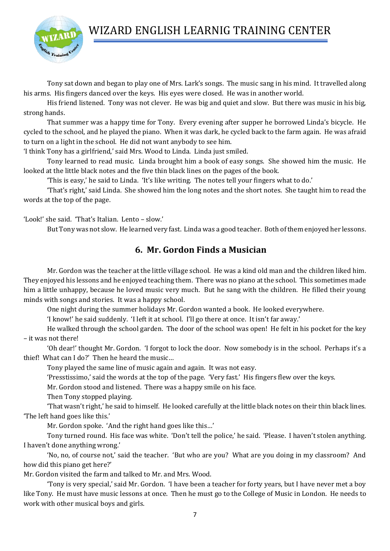

Tony sat down and began to play one of Mrs. Lark's songs. The music sang in his mind. It travelled along his arms. His fingers danced over the keys. His eyes were closed. He was in another world.

His friend listened. Tony was not clever. He was big and quiet and slow. But there was music in his big, strong hands.

That summer was a happy time for Tony. Every evening after supper he borrowed Linda's bicycle. He cycled to the school, and he played the piano. When it was dark, he cycled back to the farm again. He was afraid to turn on a light in the school. He did not want anybody to see him.

'I think Tony has a girlfriend,' said Mrs. Wood to Linda. Linda just smiled.

Tony learned to read music. Linda brought him a book of easy songs. She showed him the music. He looked at the little black notes and the five thin black lines on the pages of the book.

'This is easy,' he said to Linda. 'It's like writing. The notes tell your fingers what to do.'

'That's right,' said Linda. She showed him the long notes and the short notes. She taught him to read the words at the top of the page.

'Look!' she said. 'That's Italian. Lento – slow.'

But Tony was not slow. He learned very fast. Linda was a good teacher. Both of them enjoyed her lessons.

#### **6. Mr. Gordon Finds a Musician**

Mr. Gordon was the teacher at the little village school. He was a kind old man and the children liked him. They enjoyed his lessons and he enjoyed teaching them. There was no piano at the school. This sometimes made him a little unhappy, because he loved music very much. But he sang with the children. He filled their young minds with songs and stories. It was a happy school.

One night during the summer holidays Mr. Gordon wanted a book. He looked everywhere.

'I know!' he said suddenly. 'I left it at school. I'll go there at once. It isn't far away.'

He walked through the school garden. The door of the school was open! He felt in his pocket for the key – it was not there!

'Oh dear!' thought Mr. Gordon. 'I forgot to lock the door. Now somebody is in the school. Perhaps it's a thief! What can I do?' Then he heard the music…

Tony played the same line of music again and again. It was not easy.

'Presstissimo,' said the words at the top of the page. 'Very fast.' His fingers flew over the keys.

Mr. Gordon stood and listened. There was a happy smile on his face.

Then Tony stopped playing.

'That wasn't right,' he said to himself. He looked carefully at the little black notes on their thin black lines. 'The left hand goes like this.'

Mr. Gordon spoke. 'And the right hand goes like this…'

Tony turned round. His face was white. 'Don't tell the police,' he said. 'Please. I haven't stolen anything. I haven't done anything wrong.'

'No, no, of course not,' said the teacher. 'But who are you? What are you doing in my classroom? And how did this piano get here?'

Mr. Gordon visited the farm and talked to Mr. and Mrs. Wood.

'Tony is very special,' said Mr. Gordon. 'I have been a teacher for forty years, but I have never met a boy like Tony. He must have music lessons at once. Then he must go to the College of Music in London. He needs to work with other musical boys and girls.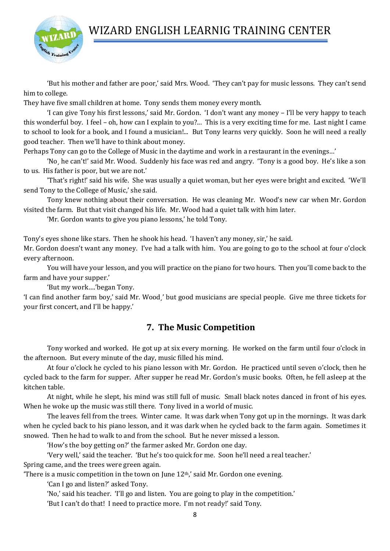

'But his mother and father are poor,' said Mrs. Wood. 'They can't pay for music lessons. They can't send him to college.

They have five small children at home. Tony sends them money every month.

'I can give Tony his first lessons,' said Mr. Gordon. 'I don't want any money – I'll be very happy to teach this wonderful boy. I feel – oh, how can I explain to you?... This is a very exciting time for me. Last night I came to school to look for a book, and I found a musician!... But Tony learns very quickly. Soon he will need a really good teacher. Then we'll have to think about money.

Perhaps Tony can go to the College of Music in the daytime and work in a restaurant in the evenings…'

'No¸ he can't!' said Mr. Wood. Suddenly his face was red and angry. 'Tony is a good boy. He's like a son to us. His father is poor, but we are not.'

'That's right!' said his wife. She was usually a quiet woman, but her eyes were bright and excited. 'We'll send Tony to the College of Music,' she said.

Tony knew nothing about their conversation. He was cleaning Mr. Wood's new car when Mr. Gordon visited the farm. But that visit changed his life. Mr. Wood had a quiet talk with him later.

'Mr. Gordon wants to give you piano lessons,' he told Tony.

Tony's eyes shone like stars. Then he shook his head. 'I haven't any money, sir,' he said.

Mr. Gordon doesn't want any money. I've had a talk with him. You are going to go to the school at four o'clock every afternoon.

You will have your lesson, and you will practice on the piano for two hours. Then you'll come back to the farm and have your supper.'

'But my work….'began Tony.

'I can find another farm boy,' said Mr. Wood¸' but good musicians are special people. Give me three tickets for your first concert, and I'll be happy.'

#### **7. The Music Competition**

Tony worked and worked. He got up at six every morning. He worked on the farm until four o'clock in the afternoon. But every minute of the day, music filled his mind.

At four o'clock he cycled to his piano lesson with Mr. Gordon. He practiced until seven o'clock, then he cycled back to the farm for supper. After supper he read Mr. Gordon's music books. Often, he fell asleep at the kitchen table.

At night, while he slept, his mind was still full of music. Small black notes danced in front of his eyes. When he woke up the music was still there. Tony lived in a world of music.

The leaves fell from the trees. Winter came. It was dark when Tony got up in the mornings. It was dark when he cycled back to his piano lesson, and it was dark when he cycled back to the farm again. Sometimes it snowed. Then he had to walk to and from the school. But he never missed a lesson.

'How's the boy getting on?' the farmer asked Mr. Gordon one day.

'Very well,' said the teacher. 'But he's too quick for me. Soon he'll need a real teacher.' Spring came, and the trees were green again.

'There is a music competition in the town on June  $12<sup>th</sup>$ ,' said Mr. Gordon one evening.

'Can I go and listen?' asked Tony.

'No,' said his teacher. 'I'll go and listen. You are going to play in the competition.'

'But I can't do that! I need to practice more. I'm not ready!' said Tony.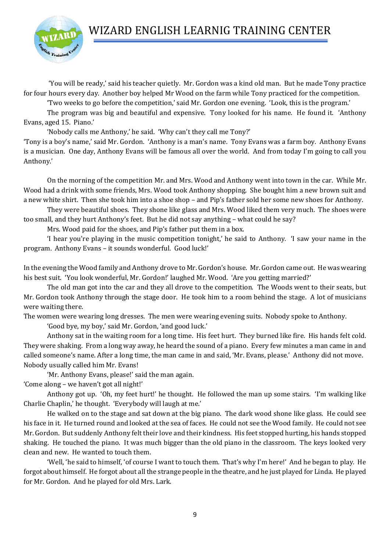



'You will be ready,' said his teacher quietly. Mr. Gordon was a kind old man. But he made Tony practice for four hours every day. Another boy helped Mr Wood on the farm while Tony practiced for the competition.

'Two weeks to go before the competition,' said Mr. Gordon one evening. 'Look, this is the program.'

The program was big and beautiful and expensive. Tony looked for his name. He found it. 'Anthony Evans, aged 15. Piano.'

'Nobody calls me Anthony,' he said. 'Why can't they call me Tony?'

'Tony is a boy's name,' said Mr. Gordon. 'Anthony is a man's name. Tony Evans was a farm boy. Anthony Evans is a musician. One day, Anthony Evans will be famous all over the world. And from today I'm going to call you Anthony.'

On the morning of the competition Mr. and Mrs. Wood and Anthony went into town in the car. While Mr. Wood had a drink with some friends, Mrs. Wood took Anthony shopping. She bought him a new brown suit and a new white shirt. Then she took him into a shoe shop – and Pip's father sold her some new shoes for Anthony.

They were beautiful shoes. They shone like glass and Mrs. Wood liked them very much. The shoes were too small, and they hurt Anthony's feet. But he did not say anything – what could he say?

Mrs. Wood paid for the shoes, and Pip's father put them in a box.

'I hear you're playing in the music competition tonight,' he said to Anthony. 'I saw your name in the program. Anthony Evans – it sounds wonderful. Good luck!'

In the evening the Wood family and Anthony drove to Mr. Gordon's house. Mr. Gordon came out. He was wearing his best suit. 'You look wonderful, Mr. Gordon!' laughed Mr. Wood. 'Are you getting married?'

The old man got into the car and they all drove to the competition. The Woods went to their seats, but Mr. Gordon took Anthony through the stage door. He took him to a room behind the stage. A lot of musicians were waiting there.

The women were wearing long dresses. The men were wearing evening suits. Nobody spoke to Anthony.

'Good bye, my boy,' said Mr. Gordon, 'and good luck.'

Anthony sat in the waiting room for a long time. His feet hurt. They burned like fire. His hands felt cold. They were shaking. From a long way away, he heard the sound of a piano. Every few minutes a man came in and called someone's name. After a long time, the man came in and said, 'Mr. Evans, please.' Anthony did not move. Nobody usually called him Mr. Evans!

'Mr. Anthony Evans, please!' said the man again.

'Come along – we haven't got all night!'

Anthony got up. 'Oh, my feet hurt!' he thought. He followed the man up some stairs. 'I'm walking like Charlie Chaplin,' he thought. 'Everybody will laugh at me.'

He walked on to the stage and sat down at the big piano. The dark wood shone like glass. He could see his face in it. He turned round and looked at the sea of faces. He could not see the Wood family. He could not see Mr. Gordon. But suddenly Anthony felt their love and their kindness. His feet stopped hurting, his hands stopped shaking. He touched the piano. It was much bigger than the old piano in the classroom. The keys looked very clean and new. He wanted to touch them.

'Well, 'he said to himself, 'of course I want to touch them. That's why I'm here!' And he began to play. He forgot about himself. He forgot about all the strange people in the theatre, and he just played for Linda. He played for Mr. Gordon. And he played for old Mrs. Lark.